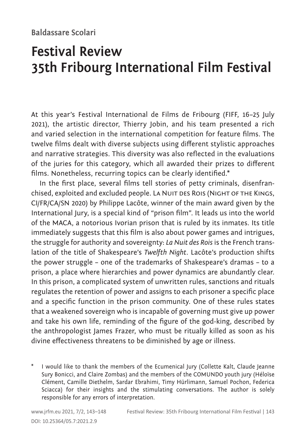## **Baldassare Scolari**

## **Festival Review 35th Fribourg International Film Festival**

At this year's Festival International de Films de Fribourg (FIFF, 16–25 July 2021), the artistic director, Thierry Jobin, and his team presented a rich and varied selection in the international competition for feature films. The twelve films dealt with diverse subjects using different stylistic approaches and narrative strategies. This diversity was also reflected in the evaluations of the juries for this category, which all awarded their prizes to different films. Nonetheless, recurring topics can be clearly identified.\*

In the first place, several films tell stories of petty criminals, disenfranchised, exploited and excluded people. La NUIT DES ROIS (NIGHT OF THE KINGS, CI/FR/CA/SN 2020) by Philippe Lacôte, winner of the main award given by the International Jury, is a special kind of "prison film". It leads us into the world of the MACA, a notorious Ivorian prison that is ruled by its inmates. Its title immediately suggests that this film is also about power games and intrigues, the struggle for authority and sovereignty: *La Nuit des Rois* is the French translation of the title of Shakespeare's *Twelfth Night*. Lacôte's production shifts the power struggle – one of the trademarks of Shakespeare's dramas – to a prison, a place where hierarchies and power dynamics are abundantly clear. In this prison, a complicated system of unwritten rules, sanctions and rituals regulates the retention of power and assigns to each prisoner a specific place and a specific function in the prison community. One of these rules states that a weakened sovereign who is incapable of governing must give up power and take his own life, reminding of the figure of the god-king, described by the anthropologist James Frazer, who must be ritually killed as soon as his divine effectiveness threatens to be diminished by age or illness.

\* I would like to thank the members of the Ecumenical Jury (Collette Kalt, Claude Jeanne Sury Bonicci, and Claire Zombas) and the members of the COMUNDO youth jury (Héloïse Clément, Camille Diethelm, Sardar Ebrahimi, Timy Hürlimann, Samuel Pochon, Federica Sciacca) for their insights and the stimulating conversations. The author is solely responsible for any errors of interpretation.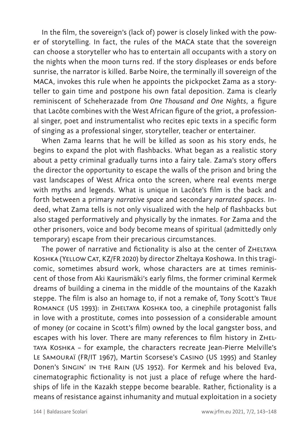In the film, the sovereign's (lack of) power is closely linked with the power of storytelling. In fact, the rules of the MACA state that the sovereign can choose a storyteller who has to entertain all occupants with a story on the nights when the moon turns red. If the story displeases or ends before sunrise, the narrator is killed. Barbe Noire, the terminally ill sovereign of the MACA, invokes this rule when he appoints the pickpocket Zama as a storyteller to gain time and postpone his own fatal deposition. Zama is clearly reminiscent of Scheherazade from *One Thousand and One Nights*, a figure that Lacôte combines with the West African figure of the griot, a professional singer, poet and instrumentalist who recites epic texts in a specific form of singing as a professional singer, storyteller, teacher or entertainer.

When Zama learns that he will be killed as soon as his story ends, he begins to expand the plot with flashbacks. What began as a realistic story about a petty criminal gradually turns into a fairy tale. Zama's story offers the director the opportunity to escape the walls of the prison and bring the vast landscapes of West Africa onto the screen, where real events merge with myths and legends. What is unique in Lacôte's film is the back and forth between a primary *narrative space* and secondary *narrated spaces*. Indeed, what Zama tells is not only visualized with the help of flashbacks but also staged performatively and physically by the inmates. For Zama and the other prisoners, voice and body become means of spiritual (admittedly only temporary) escape from their precarious circumstances.

The power of narrative and fictionality is also at the center of ZHELTAYA Koshka (Yellow Cat, KZ/FR 2020) by director Zheltaya Koshowa. In this tragicomic, sometimes absurd work, whose characters are at times reminiscent of those from Aki Kaurismäki's early films, the former criminal Kermek dreams of building a cinema in the middle of the mountains of the Kazakh steppe. The film is also an homage to, if not a remake of, Tony Scott's True Romance (US 1993): in Zheltaya Koshka too, a cinephile protagonist falls in love with a prostitute, comes into possession of a considerable amount of money (or cocaine in Scott's film) owned by the local gangster boss, and escapes with his lover. There are many references to film history in Zheltaya Koshka – for example, the characters recreate Jean-Pierre Melville's Le Samouraï (FR/IT 1967), Martin Scorsese's Casino (US 1995) and Stanley Donen's Singin' in the Rain (US 1952). For Kermek and his beloved Eva, cinematographic fictionality is not just a place of refuge where the hardships of life in the Kazakh steppe become bearable. Rather, fictionality is a means of resistance against inhumanity and mutual exploitation in a society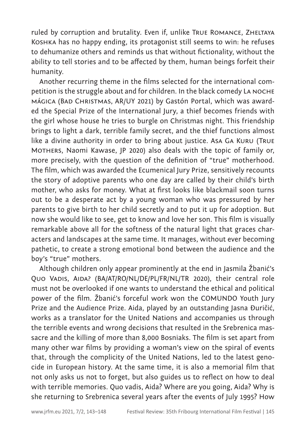ruled by corruption and brutality. Even if, unlike True Romance, Zheltaya Koshka has no happy ending, its protagonist still seems to win: he refuses to dehumanize others and reminds us that without fictionality, without the ability to tell stories and to be affected by them, human beings forfeit their humanity.

Another recurring theme in the films selected for the international competition is the struggle about and for children. In the black comedy La noche mágica (Bad Christmas, AR/UY 2021) by Gastón Portal, which was awarded the Special Prize of the International Jury, a thief becomes friends with the girl whose house he tries to burgle on Christmas night. This friendship brings to light a dark, terrible family secret, and the thief functions almost like a divine authority in order to bring about justice. Asa Ga Kuru (True MOTHERS, Naomi Kawase, JP 2020) also deals with the topic of family or, more precisely, with the question of the definition of "true" motherhood. The film, which was awarded the Ecumenical Jury Prize, sensitively recounts the story of adoptive parents who one day are called by their child's birth mother, who asks for money. What at first looks like blackmail soon turns out to be a desperate act by a young woman who was pressured by her parents to give birth to her child secretly and to put it up for adoption. But now she would like to see, get to know and love her son. This film is visually remarkable above all for the softness of the natural light that graces characters and landscapes at the same time. It manages, without ever becoming pathetic, to create a strong emotional bond between the audience and the boy's "true" mothers.

Although children only appear prominently at the end in Jasmila Žbanić's Quo Vadis, Aida? (BA/AT/RO/NL/DE/PL/FR/NL/TR 2020), their central role must not be overlooked if one wants to understand the ethical and political power of the film. Žbanić's forceful work won the COMUNDO Youth Jury Prize and the Audience Prize. Aida, played by an outstanding Jasna Đuričić, works as a translator for the United Nations and accompanies us through the terrible events and wrong decisions that resulted in the Srebrenica massacre and the killing of more than 8,000 Bosniaks. The film is set apart from many other war films by providing a woman's view on the spiral of events that, through the complicity of the United Nations, led to the latest genocide in European history. At the same time, it is also a memorial film that not only asks us not to forget, but also guides us to reflect on how to deal with terrible memories. Quo vadis, Aida? Where are you going, Aida? Why is she returning to Srebrenica several years after the events of July 1995? How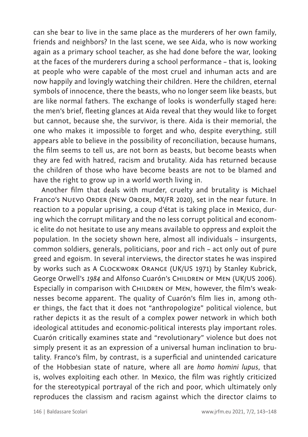can she bear to live in the same place as the murderers of her own family, friends and neighbors? In the last scene, we see Aida, who is now working again as a primary school teacher, as she had done before the war, looking at the faces of the murderers during a school performance – that is, looking at people who were capable of the most cruel and inhuman acts and are now happily and lovingly watching their children. Here the children, eternal symbols of innocence, there the beasts, who no longer seem like beasts, but are like normal fathers. The exchange of looks is wonderfully staged here: the men's brief, fleeting glances at Aida reveal that they would like to forget but cannot, because she, the survivor, is there. Aida is their memorial, the one who makes it impossible to forget and who, despite everything, still appears able to believe in the possibility of reconciliation, because humans, the film seems to tell us, are not born as beasts, but become beasts when they are fed with hatred, racism and brutality. Aida has returned because the children of those who have become beasts are not to be blamed and have the right to grow up in a world worth living in.

Another film that deals with murder, cruelty and brutality is Michael Franco's NUEVO ORDER (NEW ORDER, MX/FR 2020), set in the near future. In reaction to a popular uprising, a coup d'état is taking place in Mexico, during which the corrupt military and the no less corrupt political and economic elite do not hesitate to use any means available to oppress and exploit the population. In the society shown here, almost all individuals – insurgents, common soldiers, generals, politicians, poor and rich – act only out of pure greed and egoism. In several interviews, the director states he was inspired by works such as A Clockwork Orange (UK/US 1971) by Stanley Kubrick, George Orwell's 1984 and Alfonso Cuarón's CHILDREN OF MEN (UK/US 2006). Especially in comparison with CHILDREN OF MEN, however, the film's weaknesses become apparent. The quality of Cuarón's film lies in, among other things, the fact that it does not "anthropologize" political violence, but rather depicts it as the result of a complex power network in which both ideological attitudes and economic-political interests play important roles. Cuarón critically examines state and "revolutionary" violence but does not simply present it as an expression of a universal human inclination to brutality. Franco's film, by contrast, is a superficial and unintended caricature of the Hobbesian state of nature, where all are *homo homini lupus*, that is, wolves exploiting each other. In Mexico, the film was rightly criticized for the stereotypical portrayal of the rich and poor, which ultimately only reproduces the classism and racism against which the director claims to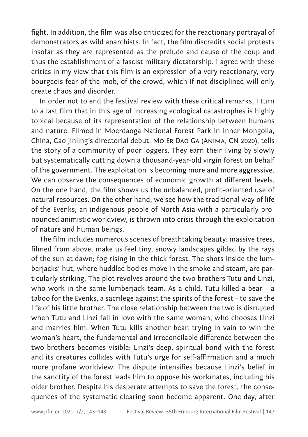fight. In addition, the film was also criticized for the reactionary portrayal of demonstrators as wild anarchists. In fact, the film discredits social protests insofar as they are represented as the prelude and cause of the coup and thus the establishment of a fascist military dictatorship. I agree with these critics in my view that this film is an expression of a very reactionary, very bourgeois fear of the mob, of the crowd, which if not disciplined will only create chaos and disorder.

In order not to end the festival review with these critical remarks, I turn to a last film that in this age of increasing ecological catastrophes is highly topical because of its representation of the relationship between humans and nature. Filmed in Moerdaoga National Forest Park in Inner Mongolia, China, Cao Jinling's directorial debut, Mo Er Dao Ga (Anima, CN 2020), tells the story of a community of poor loggers. They earn their living by slowly but systematically cutting down a thousand-year-old virgin forest on behalf of the government. The exploitation is becoming more and more aggressive. We can observe the consequences of economic growth at different levels. On the one hand, the film shows us the unbalanced, profit-oriented use of natural resources. On the other hand, we see how the traditional way of life of the Evenks, an indigenous people of North Asia with a particularly pronounced animistic worldview, is thrown into crisis through the exploitation of nature and human beings.

The film includes numerous scenes of breathtaking beauty: massive trees, filmed from above, make us feel tiny; snowy landscapes gilded by the rays of the sun at dawn; fog rising in the thick forest. The shots inside the lumberjacks' hut, where huddled bodies move in the smoke and steam, are particularly striking. The plot revolves around the two brothers Tutu and Linzi, who work in the same lumberjack team. As a child, Tutu killed a bear – a taboo for the Evenks, a sacrilege against the spirits of the forest – to save the life of his little brother. The close relationship between the two is disrupted when Tutu and Linzi fall in love with the same woman, who chooses Linzi and marries him. When Tutu kills another bear, trying in vain to win the woman's heart, the fundamental and irreconcilable difference between the two brothers becomes visible: Linzi's deep, spiritual bond with the forest and its creatures collides with Tutu's urge for self-affirmation and a much more profane worldview. The dispute intensifies because Linzi's belief in the sanctity of the forest leads him to oppose his workmates, including his older brother. Despite his desperate attempts to save the forest, the consequences of the systematic clearing soon become apparent. One day, after